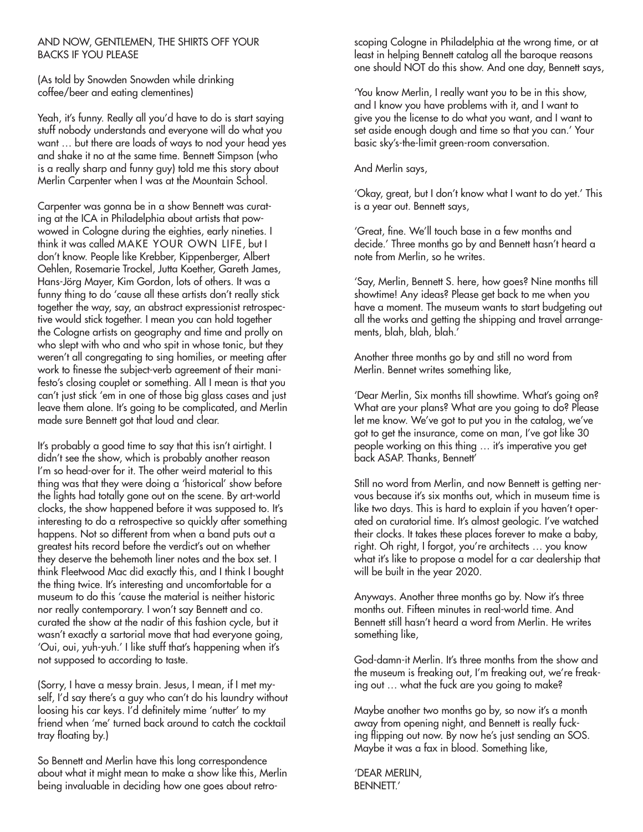## AND NOW, GENTLEMEN, THE SHIRTS OFF YOUR BACKS IF YOU PLEASE

(As told by Snowden Snowden while drinking coffee/beer and eating clementines)

Yeah, it's funny. Really all you'd have to do is start saying stuff nobody understands and everyone will do what you want … but there are loads of ways to nod your head yes and shake it no at the same time. Bennett Simpson (who is a really sharp and funny guy) told me this story about Merlin Carpenter when I was at the Mountain School.

Carpenter was gonna be in a show Bennett was curating at the ICA in Philadelphia about artists that powwowed in Cologne during the eighties, early nineties. I think it was called MAKE YOUR OWN LIFE, but I don't know. People like Krebber, Kippenberger, Albert Oehlen, Rosemarie Trockel, Jutta Koether, Gareth James, Hans-Jörg Mayer, Kim Gordon, lots of others. It was a funny thing to do 'cause all these artists don't really stick together the way, say, an abstract expressionist retrospective would stick together. I mean you can hold together the Cologne artists on geography and time and prolly on who slept with who and who spit in whose tonic, but they weren't all congregating to sing homilies, or meeting after work to finesse the subject-verb agreement of their manifesto's closing couplet or something. All I mean is that you can't just stick 'em in one of those big glass cases and just leave them alone. It's going to be complicated, and Merlin made sure Bennett got that loud and clear.

It's probably a good time to say that this isn't airtight. I didn't see the show, which is probably another reason I'm so head-over for it. The other weird material to this thing was that they were doing a 'historical' show before the lights had totally gone out on the scene. By art-world clocks, the show happened before it was supposed to. It's interesting to do a retrospective so quickly after something happens. Not so different from when a band puts out a greatest hits record before the verdict's out on whether they deserve the behemoth liner notes and the box set. I think Fleetwood Mac did exactly this, and I think I bought the thing twice. It's interesting and uncomfortable for a museum to do this 'cause the material is neither historic nor really contemporary. I won't say Bennett and co. curated the show at the nadir of this fashion cycle, but it wasn't exactly a sartorial move that had everyone going, 'Oui, oui, yuh-yuh.' I like stuff that's happening when it's not supposed to according to taste.

(Sorry, I have a messy brain. Jesus, I mean, if I met myself, I'd say there's a guy who can't do his laundry without loosing his car keys. I'd definitely mime 'nutter' to my friend when 'me' turned back around to catch the cocktail tray floating by.)

So Bennett and Merlin have this long correspondence about what it might mean to make a show like this, Merlin being invaluable in deciding how one goes about retroscoping Cologne in Philadelphia at the wrong time, or at least in helping Bennett catalog all the baroque reasons one should NOT do this show. And one day, Bennett says,

'You know Merlin, I really want you to be in this show, and I know you have problems with it, and I want to give you the license to do what you want, and I want to set aside enough dough and time so that you can.' Your basic sky's-the-limit green-room conversation.

## And Merlin says,

'Okay, great, but I don't know what I want to do yet.' This is a year out. Bennett says,

'Great, fine. We'll touch base in a few months and decide.' Three months go by and Bennett hasn't heard a note from Merlin, so he writes.

'Say, Merlin, Bennett S. here, how goes? Nine months till showtime! Any ideas? Please get back to me when you have a moment. The museum wants to start budgeting out all the works and getting the shipping and travel arrangements, blah, blah, blah.'

Another three months go by and still no word from Merlin. Bennet writes something like,

'Dear Merlin, Six months till showtime. What's going on? What are your plans? What are you going to do? Please let me know. We've got to put you in the catalog, we've got to get the insurance, come on man, I've got like 30 people working on this thing … it's imperative you get back ASAP. Thanks, Bennett'

Still no word from Merlin, and now Bennett is getting nervous because it's six months out, which in museum time is like two days. This is hard to explain if you haven't operated on curatorial time. It's almost geologic. I've watched their clocks. It takes these places forever to make a baby, right. Oh right, I forgot, you're architects … you know what it's like to propose a model for a car dealership that will be built in the year 2020.

Anyways. Another three months go by. Now it's three months out. Fifteen minutes in real-world time. And Bennett still hasn't heard a word from Merlin. He writes something like,

God-damn-it Merlin. It's three months from the show and the museum is freaking out, I'm freaking out, we're freaking out … what the fuck are you going to make?

Maybe another two months go by, so now it's a month away from opening night, and Bennett is really fucking flipping out now. By now he's just sending an SOS. Maybe it was a fax in blood. Something like,

'DEAR MERLIN, BENNETT.'